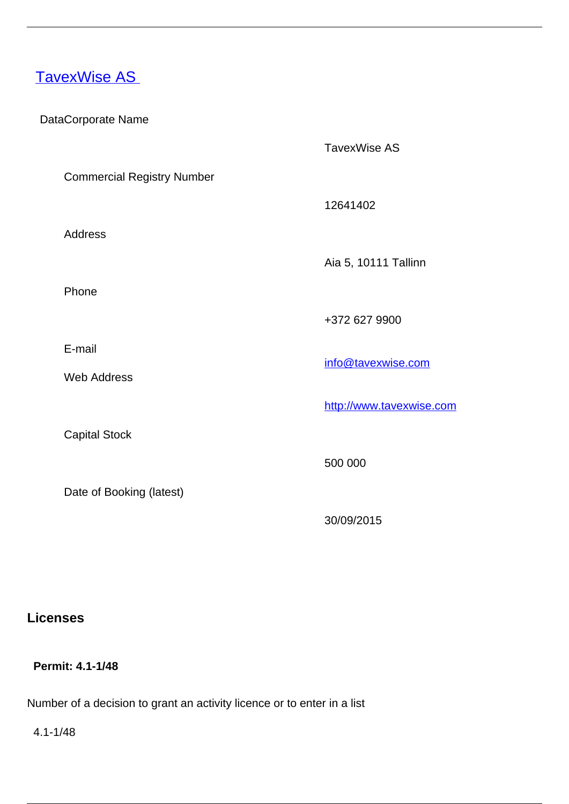## [TavexWise AS](/en/payment-services/payment-institutions/estonian-payment-institutions/tavexwise)

#### DataCorporate Name

TavexWise AS

12641402

Commercial Registry Number

Address

Aia 5, 10111 Tallinn

Phone

E-mail

Web Address

Capital Stock

Date of Booking (latest)

+372 627 9900

info@tavexwise.com

<http://www.tavexwise.com>

500 000

30/09/2015

## **Licenses**

 **Permit: 4.1-1/48** 

Number of a decision to grant an activity licence or to enter in a list

4.1-1/48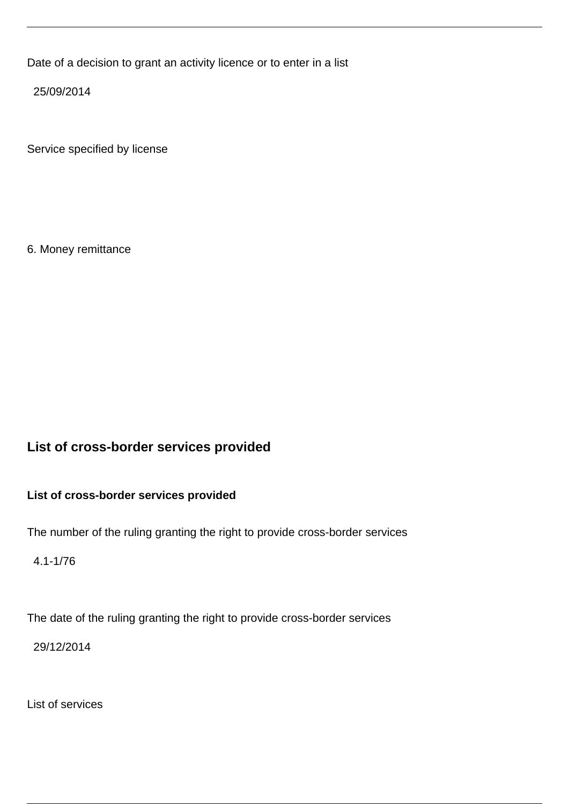Date of a decision to grant an activity licence or to enter in a list

25/09/2014

Service specified by license

6. Money remittance

# **List of cross-border services provided**

#### **List of cross-border services provided**

The number of the ruling granting the right to provide cross-border services

4.1-1/76

The date of the ruling granting the right to provide cross-border services

29/12/2014

List of services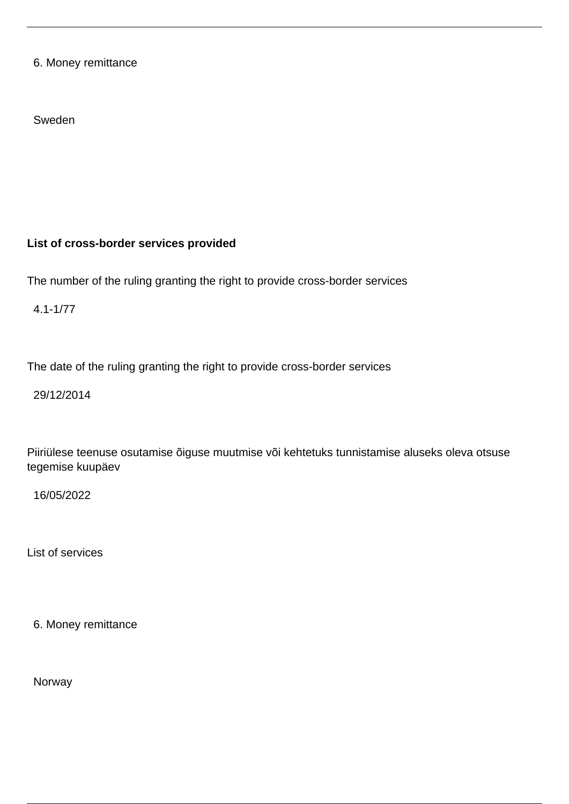6. Money remittance

Sweden

## **List of cross-border services provided**

The number of the ruling granting the right to provide cross-border services

4.1-1/77

The date of the ruling granting the right to provide cross-border services

29/12/2014

Piiriülese teenuse osutamise õiguse muutmise või kehtetuks tunnistamise aluseks oleva otsuse tegemise kuupäev

16/05/2022

List of services

6. Money remittance

Norway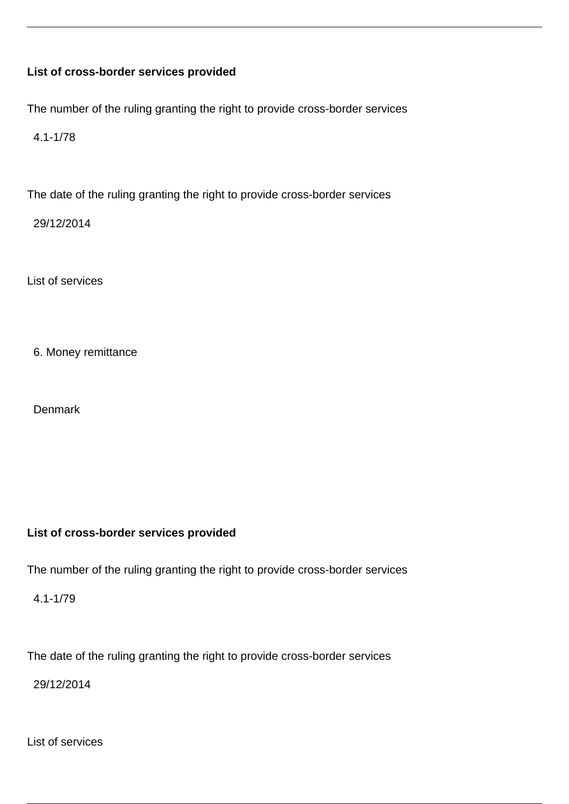#### **List of cross-border services provided**

The number of the ruling granting the right to provide cross-border services

4.1-1/78

The date of the ruling granting the right to provide cross-border services

29/12/2014

List of services

6. Money remittance

**Denmark** 

#### **List of cross-border services provided**

The number of the ruling granting the right to provide cross-border services

4.1-1/79

The date of the ruling granting the right to provide cross-border services

29/12/2014

List of services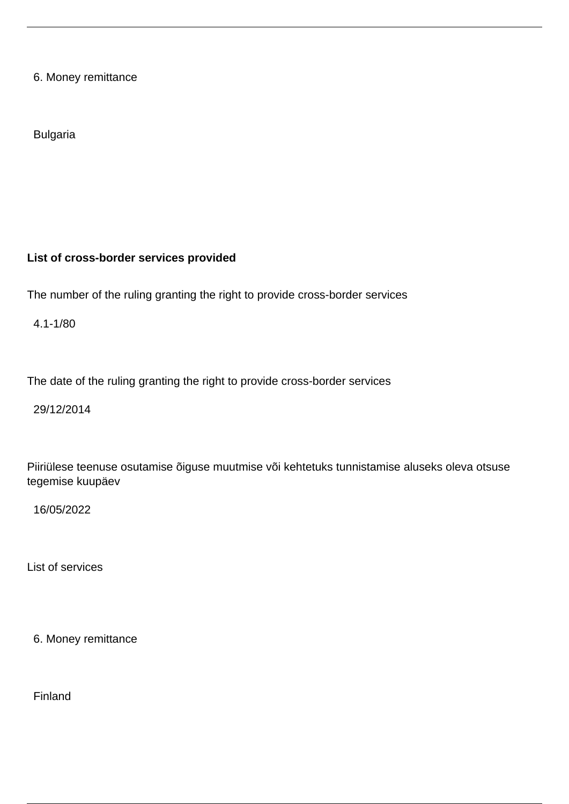6. Money remittance

Bulgaria

#### **List of cross-border services provided**

The number of the ruling granting the right to provide cross-border services

4.1-1/80

The date of the ruling granting the right to provide cross-border services

29/12/2014

Piiriülese teenuse osutamise õiguse muutmise või kehtetuks tunnistamise aluseks oleva otsuse tegemise kuupäev

16/05/2022

List of services

6. Money remittance

Finland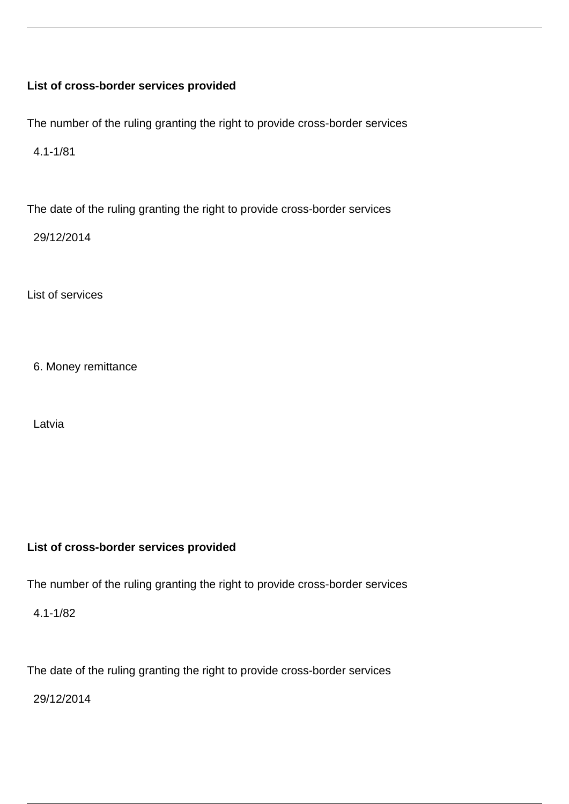#### **List of cross-border services provided**

The number of the ruling granting the right to provide cross-border services

4.1-1/81

The date of the ruling granting the right to provide cross-border services

29/12/2014

List of services

6. Money remittance

Latvia

#### **List of cross-border services provided**

The number of the ruling granting the right to provide cross-border services

4.1-1/82

The date of the ruling granting the right to provide cross-border services

29/12/2014